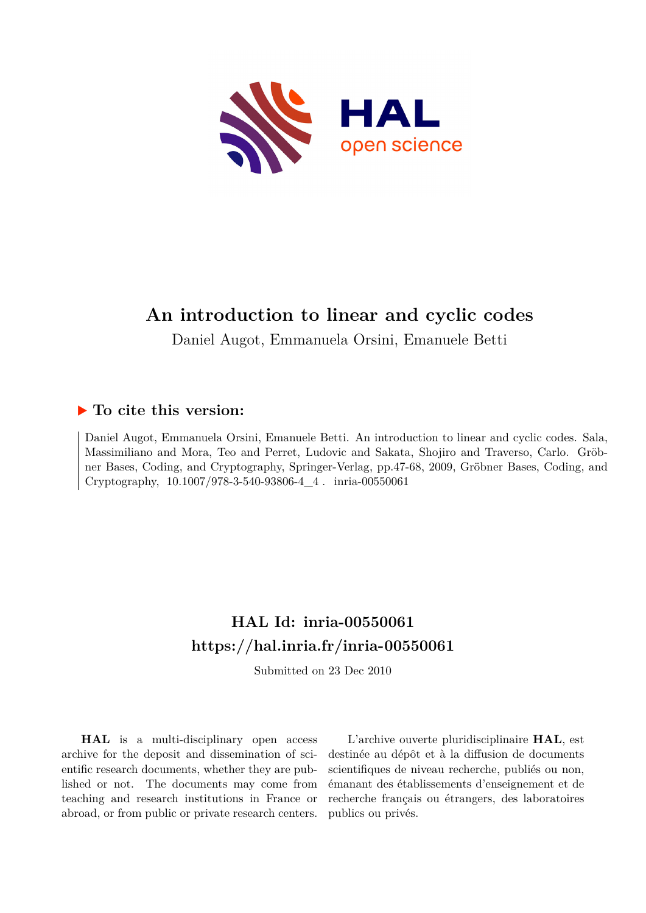

# **An introduction to linear and cyclic codes**

Daniel Augot, Emmanuela Orsini, Emanuele Betti

## **To cite this version:**

Daniel Augot, Emmanuela Orsini, Emanuele Betti. An introduction to linear and cyclic codes. Sala, Massimiliano and Mora, Teo and Perret, Ludovic and Sakata, Shojiro and Traverso, Carlo. Gröbner Bases, Coding, and Cryptography, Springer-Verlag, pp.47-68, 2009, Gröbner Bases, Coding, and Cryptography, 10.1007/978-3-540-93806-4 4. inria-00550061

# **HAL Id: inria-00550061 <https://hal.inria.fr/inria-00550061>**

Submitted on 23 Dec 2010

**HAL** is a multi-disciplinary open access archive for the deposit and dissemination of scientific research documents, whether they are published or not. The documents may come from teaching and research institutions in France or abroad, or from public or private research centers.

L'archive ouverte pluridisciplinaire **HAL**, est destinée au dépôt et à la diffusion de documents scientifiques de niveau recherche, publiés ou non, émanant des établissements d'enseignement et de recherche français ou étrangers, des laboratoires publics ou privés.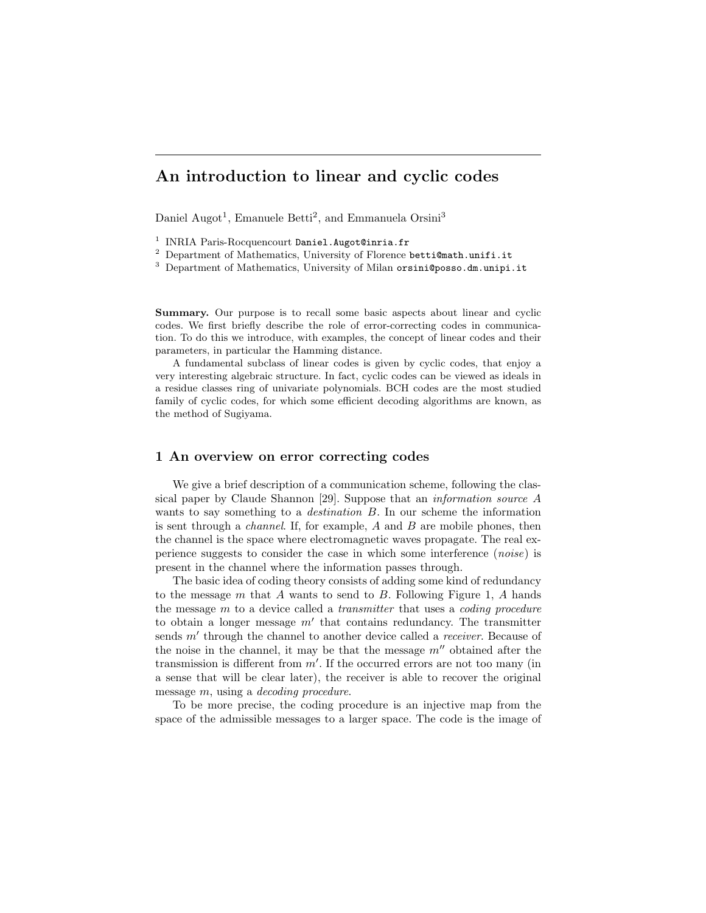## An introduction to linear and cyclic codes

Daniel Augot<sup>1</sup>, Emanuele Betti<sup>2</sup>, and Emmanuela Orsini<sup>3</sup>

- <sup>1</sup> INRIA Paris-Rocquencourt Daniel.Augot@inria.fr
- $^2$  Department of Mathematics, University of Florence betti@math.unifi.it
- <sup>3</sup> Department of Mathematics, University of Milan orsini@posso.dm.unipi.it

Summary. Our purpose is to recall some basic aspects about linear and cyclic codes. We first briefly describe the role of error-correcting codes in communication. To do this we introduce, with examples, the concept of linear codes and their parameters, in particular the Hamming distance.

A fundamental subclass of linear codes is given by cyclic codes, that enjoy a very interesting algebraic structure. In fact, cyclic codes can be viewed as ideals in a residue classes ring of univariate polynomials. BCH codes are the most studied family of cyclic codes, for which some efficient decoding algorithms are known, as the method of Sugiyama.

## 1 An overview on error correcting codes

We give a brief description of a communication scheme, following the classical paper by Claude Shannon [29]. Suppose that an information source A wants to say something to a destination B. In our scheme the information is sent through a *channel*. If, for example,  $A$  and  $B$  are mobile phones, then the channel is the space where electromagnetic waves propagate. The real experience suggests to consider the case in which some interference (noise) is present in the channel where the information passes through.

The basic idea of coding theory consists of adding some kind of redundancy to the message  $m$  that  $A$  wants to send to  $B$ . Following Figure 1,  $A$  hands the message  $m$  to a device called a *transmitter* that uses a *coding procedure* to obtain a longer message  $m'$  that contains redundancy. The transmitter sends  $m'$  through the channel to another device called a *receiver*. Because of the noise in the channel, it may be that the message  $m''$  obtained after the transmission is different from  $m'$ . If the occurred errors are not too many (in a sense that will be clear later), the receiver is able to recover the original message m, using a decoding procedure.

To be more precise, the coding procedure is an injective map from the space of the admissible messages to a larger space. The code is the image of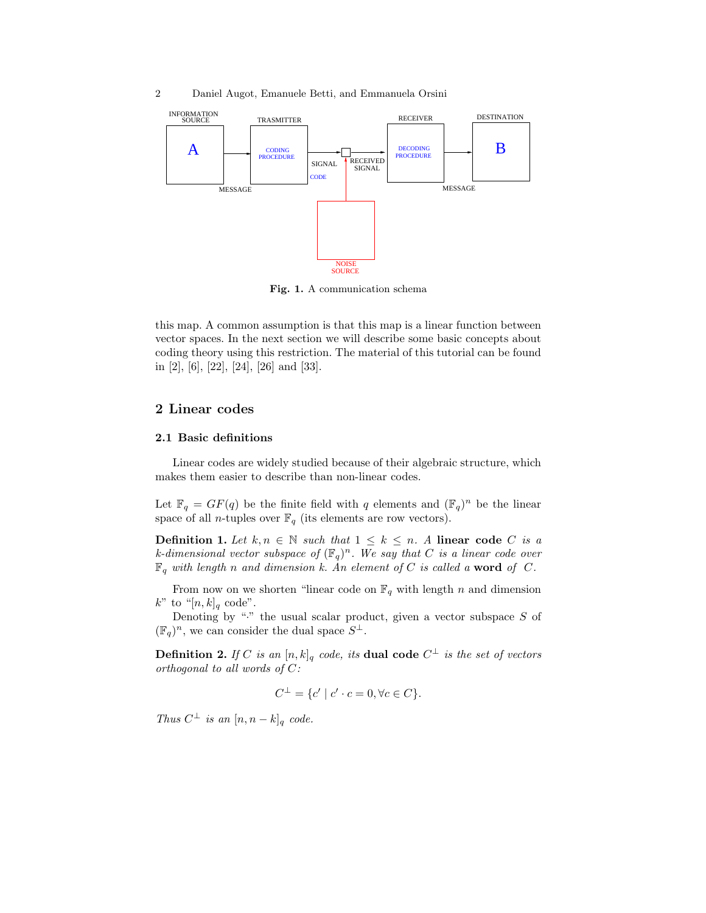



Fig. 1. A communication schema

this map. A common assumption is that this map is a linear function between vector spaces. In the next section we will describe some basic concepts about coding theory using this restriction. The material of this tutorial can be found in [2], [6], [22], [24], [26] and [33].

## 2 Linear codes

### 2.1 Basic definitions

Linear codes are widely studied because of their algebraic structure, which makes them easier to describe than non-linear codes.

Let  $\mathbb{F}_q = GF(q)$  be the finite field with q elements and  $(\mathbb{F}_q)^n$  be the linear space of all *n*-tuples over  $\mathbb{F}_q$  (its elements are row vectors).

**Definition 1.** Let  $k, n \in \mathbb{N}$  such that  $1 \leq k \leq n$ . A **linear code** C is a k-dimensional vector subspace of  $(\mathbb{F}_q)^n$ . We say that C is a linear code over  $\mathbb{F}_q$  with length n and dimension k. An element of C is called a word of C.

From now on we shorten "linear code on  $\mathbb{F}_q$  with length n and dimension  $k$ " to "[ $n, k$ ]<sub>q</sub> code".

Denoting by " $\cdot$ " the usual scalar product, given a vector subspace  $S$  of  $(\mathbb{F}_q)^n$ , we can consider the dual space  $S^{\perp}$ .

**Definition 2.** If C is an  $[n, k]_q$  code, its **dual code**  $C^{\perp}$  is the set of vectors orthogonal to all words of C:

$$
C^{\perp} = \{c' \mid c' \cdot c = 0, \forall c \in C\}.
$$

Thus  $C^{\perp}$  is an  $[n, n-k]_q$  code.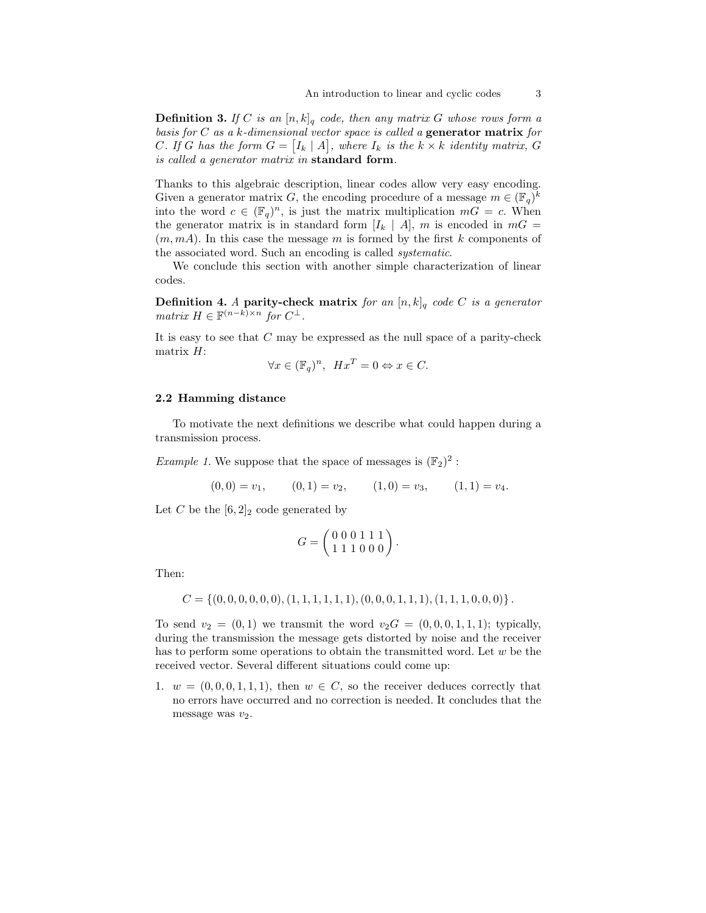**Definition 3.** If C is an  $[n, k]_q$  code, then any matrix G whose rows form a basis for  $C$  as a  $k$ -dimensional vector space is called a generator matrix for C. If G has the form  $G = [I_k | A]$ , where  $I_k$  is the  $k \times k$  identity matrix, G is called a generator matrix in standard form.

Thanks to this algebraic description, linear codes allow very easy encoding. Given a generator matrix G, the encoding procedure of a message  $m \in (\mathbb{F}_q)^k$ into the word  $c \in (\mathbb{F}_q)^n$ , is just the matrix multiplication  $m\tilde{G} = c$ . When the generator matrix is in standard form  $[I_k | A]$ , m is encoded in  $mG =$  $(m, mA)$ . In this case the message m is formed by the first k components of the associated word. Such an encoding is called systematic.

We conclude this section with another simple characterization of linear codes.

Definition 4. A parity-check matrix for an  $[n, k]_q$  code C is a generator matrix  $H \in \mathbb{F}^{(n-k)\times n}$  for  $C^{\perp}$ .

It is easy to see that  $C$  may be expressed as the null space of a parity-check matrix  $H$ :

$$
\forall x \in (\mathbb{F}_q)^n, \ Hx^T = 0 \Leftrightarrow x \in C.
$$

#### 2.2 Hamming distance

To motivate the next definitions we describe what could happen during a transmission process.

*Example 1*. We suppose that the space of messages is  $(\mathbb{F}_2)^2$ :

 $(0, 0) = v_1,$   $(0, 1) = v_2,$   $(1, 0) = v_3,$   $(1, 1) = v_4.$ 

Let C be the  $[6,2]_2$  code generated by

$$
G = \left(\begin{array}{rrr} 0 & 0 & 0 & 1 & 1 & 1 \\ 1 & 1 & 1 & 0 & 0 & 0 \end{array}\right).
$$

Then:

$$
C = \{ (0,0,0,0,0,0), (1,1,1,1,1,1), (0,0,0,1,1,1), (1,1,1,0,0,0) \}.
$$

To send  $v_2 = (0, 1)$  we transmit the word  $v_2G = (0, 0, 0, 1, 1, 1)$ ; typically, during the transmission the message gets distorted by noise and the receiver has to perform some operations to obtain the transmitted word. Let w be the received vector. Several different situations could come up:

1.  $w = (0, 0, 0, 1, 1, 1)$ , then  $w \in C$ , so the receiver deduces correctly that no errors have occurred and no correction is needed. It concludes that the message was  $v_2$ .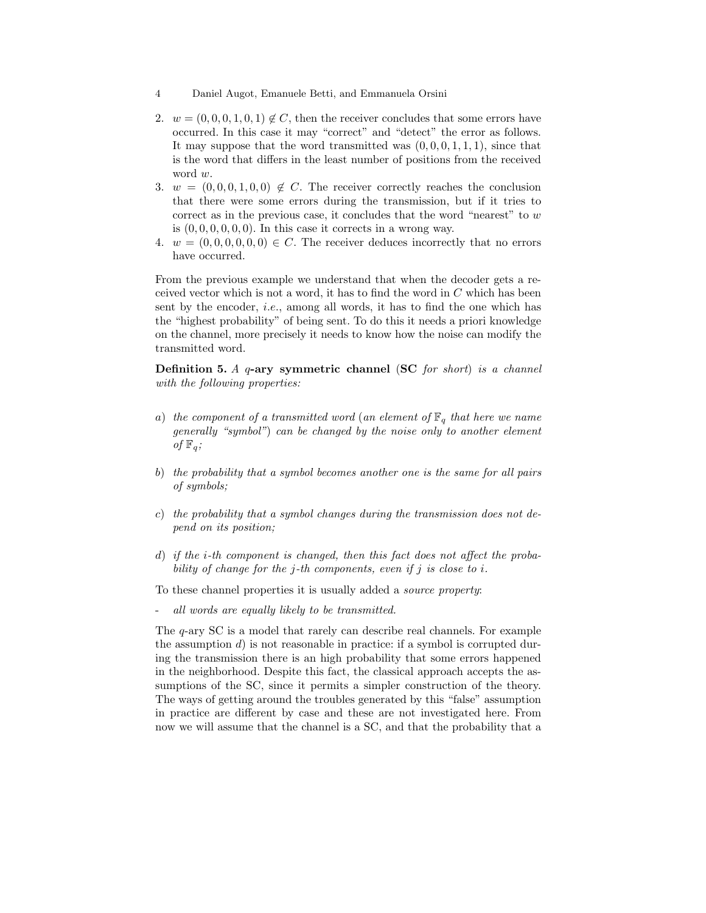- 4 Daniel Augot, Emanuele Betti, and Emmanuela Orsini
- 2.  $w = (0, 0, 0, 1, 0, 1) \notin C$ , then the receiver concludes that some errors have occurred. In this case it may "correct" and "detect" the error as follows. It may suppose that the word transmitted was  $(0, 0, 0, 1, 1, 1)$ , since that is the word that differs in the least number of positions from the received word w.
- 3.  $w = (0, 0, 0, 1, 0, 0) \notin C$ . The receiver correctly reaches the conclusion that there were some errors during the transmission, but if it tries to correct as in the previous case, it concludes that the word "nearest" to w is  $(0, 0, 0, 0, 0, 0)$ . In this case it corrects in a wrong way.
- 4.  $w = (0, 0, 0, 0, 0, 0) \in C$ . The receiver deduces incorrectly that no errors have occurred.

From the previous example we understand that when the decoder gets a received vector which is not a word, it has to find the word in  $C$  which has been sent by the encoder, *i.e.*, among all words, it has to find the one which has the "highest probability" of being sent. To do this it needs a priori knowledge on the channel, more precisely it needs to know how the noise can modify the transmitted word.

Definition 5. A  $q$ -ary symmetric channel (SC *for short*) is a channel with the following properties:

- a) the component of a transmitted word (an element of  $\mathbb{F}_q$  that here we name generally "symbol") can be changed by the noise only to another element of  $\mathbb{F}_q$ ;
- b) the probability that a symbol becomes another one is the same for all pairs of symbols;
- c) the probability that a symbol changes during the transmission does not depend on its position;
- d) if the i-th component is changed, then this fact does not affect the probability of change for the *j*-th components, even if *j* is close to *i*.

To these channel properties it is usually added a source property:

all words are equally likely to be transmitted.

The q-ary SC is a model that rarely can describe real channels. For example the assumption  $d$ ) is not reasonable in practice: if a symbol is corrupted during the transmission there is an high probability that some errors happened in the neighborhood. Despite this fact, the classical approach accepts the assumptions of the SC, since it permits a simpler construction of the theory. The ways of getting around the troubles generated by this "false" assumption in practice are different by case and these are not investigated here. From now we will assume that the channel is a SC, and that the probability that a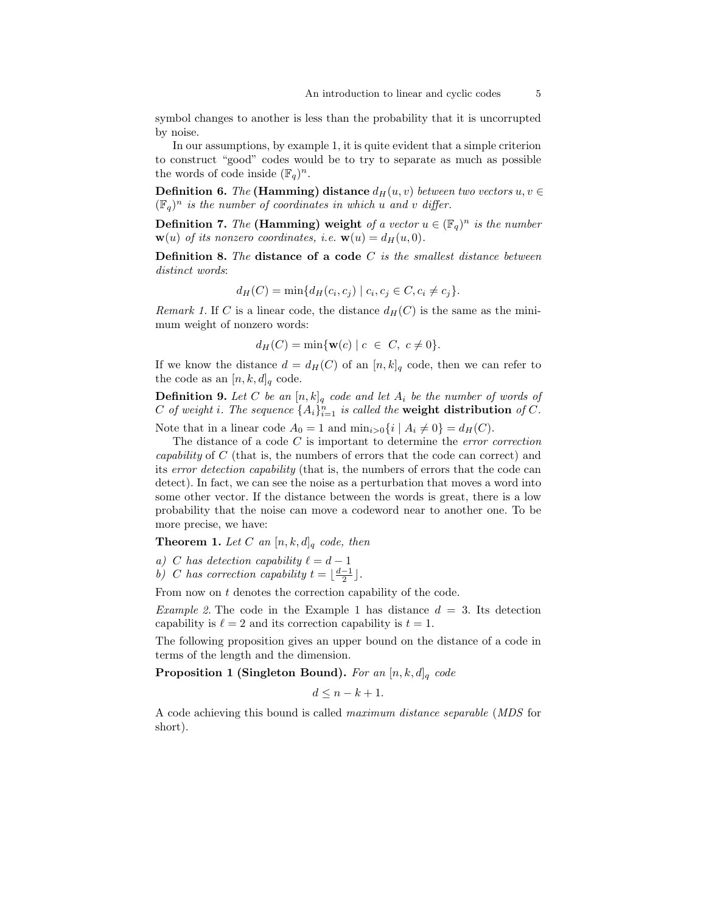symbol changes to another is less than the probability that it is uncorrupted by noise.

In our assumptions, by example 1, it is quite evident that a simple criterion to construct "good" codes would be to try to separate as much as possible the words of code inside  $(\mathbb{F}_q)^n$ .

**Definition 6.** The (Hamming) distance  $d_H(u, v)$  between two vectors  $u, v \in$  $(\mathbb{F}_q)^n$  is the number of coordinates in which u and v differ.

**Definition 7.** The (Hamming) weight of a vector  $u \in (\mathbb{F}_q)^n$  is the number  $\mathbf{w}(u)$  of its nonzero coordinates, i.e.  $\mathbf{w}(u) = d_H(u, 0)$ .

**Definition 8.** The distance of a code  $C$  is the smallest distance between distinct words:

$$
d_H(C) = \min\{d_H(c_i, c_j) \mid c_i, c_j \in C, c_i \neq c_j\}.
$$

Remark 1. If C is a linear code, the distance  $d_H(C)$  is the same as the minimum weight of nonzero words:

$$
d_H(C) = \min\{\mathbf{w}(c) \mid c \in C, c \neq 0\}.
$$

If we know the distance  $d = d_H(C)$  of an  $[n, k]_q$  code, then we can refer to the code as an  $[n, k, d]_q$  code.

**Definition 9.** Let C be an  $[n, k]_q$  code and let  $A_i$  be the number of words of C of weight i. The sequence  $\{A_i\}_{i=1}^n$  is called the **weight distribution** of C. Note that in a linear code  $A_0 = 1$  and  $\min_{i>0} \{i \mid A_i \neq 0\} = d_H(C)$ .

The distance of a code  $C$  is important to determine the *error correction* capability of C (that is, the numbers of errors that the code can correct) and its error detection capability (that is, the numbers of errors that the code can detect). In fact, we can see the noise as a perturbation that moves a word into some other vector. If the distance between the words is great, there is a low probability that the noise can move a codeword near to another one. To be more precise, we have:

**Theorem 1.** Let C an  $[n, k, d]_q$  code, then

a) C has detection capability  $\ell = d - 1$ 

b) C has correction capability  $t = \lfloor \frac{d-1}{2} \rfloor$ .

From now on t denotes the correction capability of the code.

*Example 2.* The code in the Example 1 has distance  $d = 3$ . Its detection capability is  $\ell = 2$  and its correction capability is  $t = 1$ .

The following proposition gives an upper bound on the distance of a code in terms of the length and the dimension.

**Proposition 1 (Singleton Bound).** For an  $[n, k, d]_q$  code

$$
d \leq n - k + 1.
$$

A code achieving this bound is called maximum distance separable (MDS for short).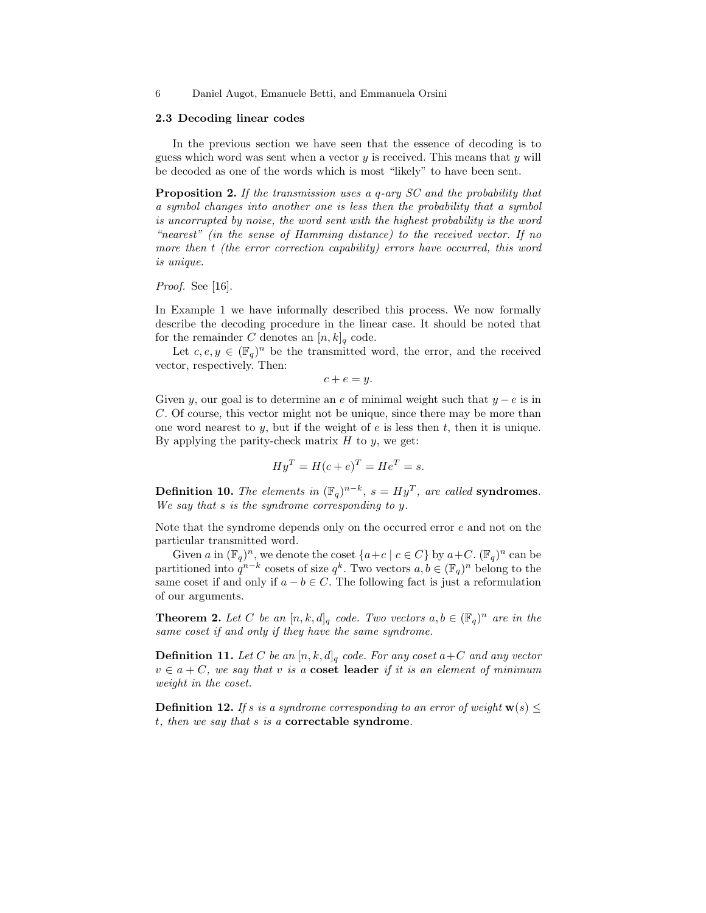#### 2.3 Decoding linear codes

In the previous section we have seen that the essence of decoding is to guess which word was sent when a vector  $y$  is received. This means that  $y$  will be decoded as one of the words which is most "likely" to have been sent.

**Proposition 2.** If the transmission uses a q-ary SC and the probability that a symbol changes into another one is less then the probability that a symbol is uncorrupted by noise, the word sent with the highest probability is the word "nearest" (in the sense of Hamming distance) to the received vector. If no more then t (the error correction capability) errors have occurred, this word is unique.

Proof. See [16].

In Example 1 we have informally described this process. We now formally describe the decoding procedure in the linear case. It should be noted that for the remainder C denotes an  $[n, k]_q$  code.

Let  $c, e, y \in (\mathbb{F}_q)^n$  be the transmitted word, the error, and the received vector, respectively. Then:

$$
c+e=y.
$$

Given y, our goal is to determine an e of minimal weight such that  $y - e$  is in C. Of course, this vector might not be unique, since there may be more than one word nearest to  $y$ , but if the weight of  $e$  is less then  $t$ , then it is unique. By applying the parity-check matrix  $H$  to  $y$ , we get:

$$
Hy^T = H(c+e)^T = He^T = s.
$$

**Definition 10.** The elements in  $(\mathbb{F}_q)^{n-k}$ ,  $s = Hy^T$ , are called **syndromes**. We say that s is the syndrome corresponding to y.

Note that the syndrome depends only on the occurred error  $e$  and not on the particular transmitted word.

Given a in  $(\mathbb{F}_q)^n$ , we denote the coset  $\{a+c \mid c \in C\}$  by  $a+C$ .  $(\mathbb{F}_q)^n$  can be partitioned into  $q^{n-k}$  cosets of size  $q^k$ . Two vectors  $a, b \in (\mathbb{F}_q)^n$  belong to the same coset if and only if  $a - b \in C$ . The following fact is just a reformulation of our arguments.

**Theorem 2.** Let C be an  $[n, k, d]_q$  code. Two vectors  $a, b \in (\mathbb{F}_q)^n$  are in the same coset if and only if they have the same syndrome.

**Definition 11.** Let C be an  $[n, k, d]_q$  code. For any coset  $a+C$  and any vector  $v \in a + C$ , we say that v is a **coset leader** if it is an element of minimum weight in the coset.

**Definition 12.** If s is a syndrome corresponding to an error of weight  $\mathbf{w}(s) \leq$  $t$ , then we say that  $s$  is a correctable syndrome.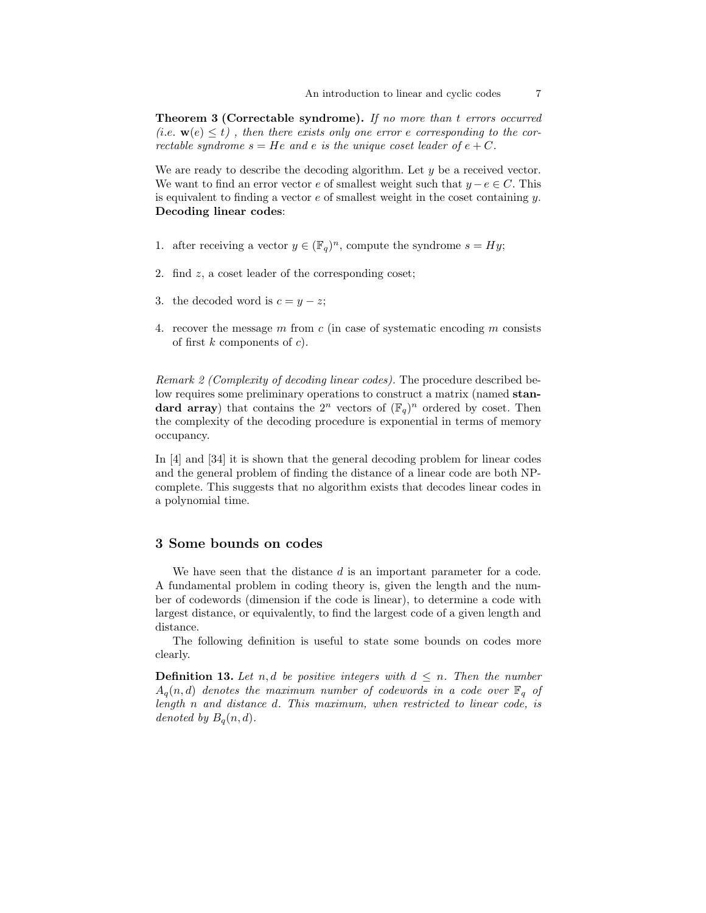Theorem 3 (Correctable syndrome). If no more than t errors occurred (i.e.  $\mathbf{w}(e) \leq t$ ), then there exists only one error e corresponding to the correctable syndrome  $s = He$  and e is the unique coset leader of  $e + C$ .

We are ready to describe the decoding algorithm. Let  $y$  be a received vector. We want to find an error vector e of smallest weight such that  $y - e \in C$ . This is equivalent to finding a vector  $e$  of smallest weight in the coset containing  $y$ . Decoding linear codes:

- 1. after receiving a vector  $y \in (\mathbb{F}_q)^n$ , compute the syndrome  $s = Hy$ ;
- 2. find z, a coset leader of the corresponding coset;
- 3. the decoded word is  $c = y z$ ;
- 4. recover the message m from c (in case of systematic encoding m consists of first  $k$  components of  $c$ ).

Remark 2 (Complexity of decoding linear codes). The procedure described below requires some preliminary operations to construct a matrix (named standard array) that contains the  $2^n$  vectors of  $(\mathbb{F}_q)^n$  ordered by coset. Then the complexity of the decoding procedure is exponential in terms of memory occupancy.

In [4] and [34] it is shown that the general decoding problem for linear codes and the general problem of finding the distance of a linear code are both NPcomplete. This suggests that no algorithm exists that decodes linear codes in a polynomial time.

## 3 Some bounds on codes

We have seen that the distance d is an important parameter for a code. A fundamental problem in coding theory is, given the length and the number of codewords (dimension if the code is linear), to determine a code with largest distance, or equivalently, to find the largest code of a given length and distance.

The following definition is useful to state some bounds on codes more clearly.

**Definition 13.** Let n, d be positive integers with  $d \leq n$ . Then the number  $A_q(n,d)$  denotes the maximum number of codewords in a code over  $\mathbb{F}_q$  of length n and distance d. This maximum, when restricted to linear code, is denoted by  $B_q(n, d)$ .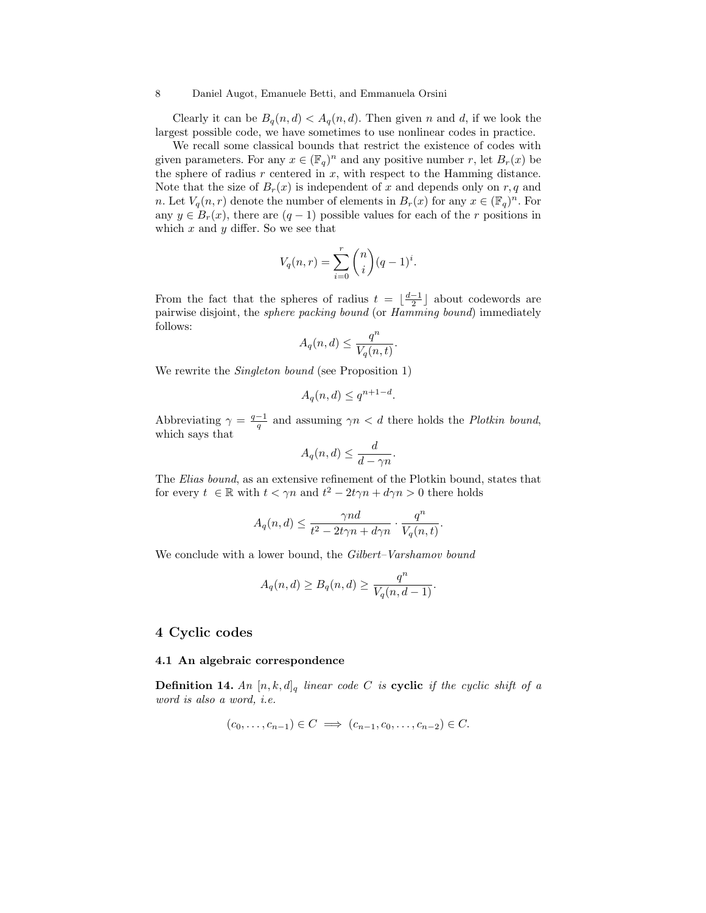Clearly it can be  $B_q(n,d) < A_q(n,d)$ . Then given n and d, if we look the largest possible code, we have sometimes to use nonlinear codes in practice.

We recall some classical bounds that restrict the existence of codes with given parameters. For any  $x \in (\mathbb{F}_q)^n$  and any positive number r, let  $B_r(x)$  be the sphere of radius  $r$  centered in  $x$ , with respect to the Hamming distance. Note that the size of  $B_r(x)$  is independent of x and depends only on r, q and *n*. Let  $V_q(n,r)$  denote the number of elements in  $B_r(x)$  for any  $x \in (\mathbb{F}_q)^n$ . For any  $y \in B_r(x)$ , there are  $(q-1)$  possible values for each of the r positions in which  $x$  and  $y$  differ. So we see that

$$
V_q(n,r) = \sum_{i=0}^r \binom{n}{i} (q-1)^i.
$$

From the fact that the spheres of radius  $t = \lfloor \frac{d-1}{2} \rfloor$  about codewords are pairwise disjoint, the sphere packing bound (or Hamming bound) immediately follows:

$$
A_q(n,d) \le \frac{q^n}{V_q(n,t)}.
$$

We rewrite the *Singleton bound* (see Proposition 1)

$$
A_q(n,d) \le q^{n+1-d}.
$$

Abbreviating  $\gamma = \frac{q-1}{q}$  and assuming  $\gamma n < d$  there holds the *Plotkin bound*, which says that

$$
A_q(n,d) \le \frac{d}{d-\gamma n}.
$$

The Elias bound, as an extensive refinement of the Plotkin bound, states that for every  $t \in \mathbb{R}$  with  $t < \gamma n$  and  $t^2 - 2t\gamma n + d\gamma n > 0$  there holds

$$
A_q(n,d) \le \frac{\gamma nd}{t^2 - 2t\gamma n + d\gamma n} \cdot \frac{q^n}{V_q(n,t)}.
$$

We conclude with a lower bound, the Gilbert–Varshamov bound

$$
A_q(n,d) \ge B_q(n,d) \ge \frac{q^n}{V_q(n,d-1)}.
$$

### 4 Cyclic codes

#### 4.1 An algebraic correspondence

**Definition 14.** An  $[n, k, d]_q$  linear code C is **cyclic** if the cyclic shift of a word is also a word, i.e.

$$
(c_0, \ldots, c_{n-1}) \in C \implies (c_{n-1}, c_0, \ldots, c_{n-2}) \in C.
$$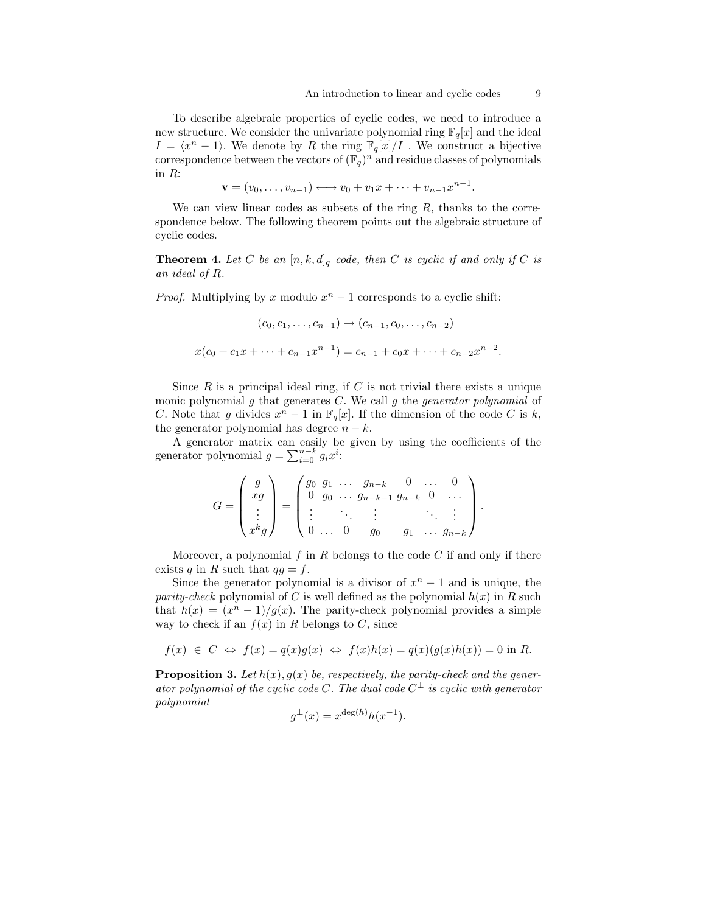To describe algebraic properties of cyclic codes, we need to introduce a new structure. We consider the univariate polynomial ring  $\mathbb{F}_q[x]$  and the ideal  $I = \langle x^n - 1 \rangle$ . We denote by R the ring  $\mathbb{F}_q[x]/I$  . We construct a bijective correspondence between the vectors of  $(\mathbb{F}_q)^n$  and residue classes of polynomials in R:

$$
\mathbf{v} = (v_0, \dots, v_{n-1}) \longleftrightarrow v_0 + v_1 x + \dots + v_{n-1} x^{n-1}.
$$

We can view linear codes as subsets of the ring  $R$ , thanks to the correspondence below. The following theorem points out the algebraic structure of cyclic codes.

**Theorem 4.** Let C be an  $[n, k, d]_q$  code, then C is cyclic if and only if C is an ideal of R.

*Proof.* Multiplying by x modulo  $x<sup>n</sup> - 1$  corresponds to a cyclic shift:

$$
(c_0, c_1, \dots, c_{n-1}) \to (c_{n-1}, c_0, \dots, c_{n-2})
$$
  

$$
x(c_0 + c_1 x + \dots + c_{n-1} x^{n-1}) = c_{n-1} + c_0 x + \dots + c_{n-2} x^{n-2}.
$$

Since  $R$  is a principal ideal ring, if  $C$  is not trivial there exists a unique monic polynomial  $g$  that generates  $C$ . We call  $g$  the *generator polynomial* of C. Note that g divides  $x^n - 1$  in  $\mathbb{F}_q[x]$ . If the dimension of the code C is k, the generator polynomial has degree  $n - k$ .

A generator matrix can easily be given by using the coefficients of the generator polynomial  $g = \sum_{i=0}^{n-k} g_i x^i$ :

$$
G = \begin{pmatrix} g \\ xg \\ \vdots \\ x^kg \end{pmatrix} = \begin{pmatrix} g_0 & g_1 & \dots & g_{n-k} & 0 & \dots & 0 \\ 0 & g_0 & \dots & g_{n-k-1} & g_{n-k} & 0 & \dots \\ \vdots & \vdots & \vdots & \vdots & \vdots & \vdots \\ 0 & \dots & 0 & g_0 & g_1 & \dots & g_{n-k} \end{pmatrix}.
$$

Moreover, a polynomial  $f$  in  $R$  belongs to the code  $C$  if and only if there exists q in R such that  $qg = f$ .

Since the generator polynomial is a divisor of  $x<sup>n</sup> - 1$  and is unique, the parity-check polynomial of C is well defined as the polynomial  $h(x)$  in R such that  $h(x) = (x^n - 1)/g(x)$ . The parity-check polynomial provides a simple way to check if an  $f(x)$  in R belongs to C, since

$$
f(x) \in C \Leftrightarrow f(x) = q(x)g(x) \Leftrightarrow f(x)h(x) = q(x)(g(x)h(x)) = 0
$$
in R.

**Proposition 3.** Let  $h(x)$ ,  $g(x)$  be, respectively, the parity-check and the generator polynomial of the cyclic code C. The dual code  $C^{\perp}$  is cyclic with generator polynomial

$$
g^{\perp}(x) = x^{\deg(h)}h(x^{-1}).
$$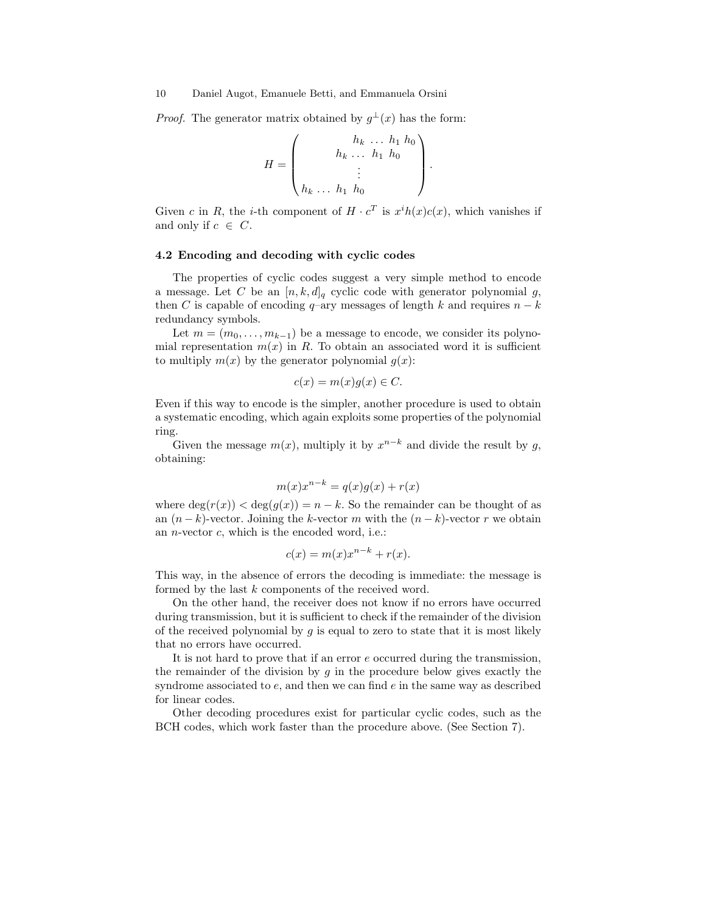*Proof.* The generator matrix obtained by  $g^{\perp}(x)$  has the form:

$$
H = \begin{pmatrix} h_k & \dots & h_1 & h_0 \\ h_k & \dots & h_1 & h_0 \\ \vdots & & & \\ h_k & \dots & h_1 & h_0 \end{pmatrix}.
$$

Given c in R, the *i*-th component of  $H \cdot c^T$  is  $x^i h(x)c(x)$ , which vanishes if and only if  $c \in C$ .

#### 4.2 Encoding and decoding with cyclic codes

The properties of cyclic codes suggest a very simple method to encode a message. Let C be an  $[n, k, d]_q$  cyclic code with generator polynomial g, then C is capable of encoding q–ary messages of length k and requires  $n - k$ redundancy symbols.

Let  $m = (m_0, \ldots, m_{k-1})$  be a message to encode, we consider its polynomial representation  $m(x)$  in R. To obtain an associated word it is sufficient to multiply  $m(x)$  by the generator polynomial  $g(x)$ :

$$
c(x) = m(x)g(x) \in C.
$$

Even if this way to encode is the simpler, another procedure is used to obtain a systematic encoding, which again exploits some properties of the polynomial ring.

Given the message  $m(x)$ , multiply it by  $x^{n-k}$  and divide the result by g, obtaining:

$$
m(x)x^{n-k} = q(x)g(x) + r(x)
$$

where  $\deg(r(x)) < \deg(g(x)) = n - k$ . So the remainder can be thought of as an  $(n - k)$ -vector. Joining the k-vector m with the  $(n - k)$ -vector r we obtain an  $n$ -vector  $c$ , which is the encoded word, i.e.:

$$
c(x) = m(x)x^{n-k} + r(x).
$$

This way, in the absence of errors the decoding is immediate: the message is formed by the last k components of the received word.

On the other hand, the receiver does not know if no errors have occurred during transmission, but it is sufficient to check if the remainder of the division of the received polynomial by  $g$  is equal to zero to state that it is most likely that no errors have occurred.

It is not hard to prove that if an error e occurred during the transmission, the remainder of the division by  $q$  in the procedure below gives exactly the syndrome associated to  $e$ , and then we can find  $e$  in the same way as described for linear codes.

Other decoding procedures exist for particular cyclic codes, such as the BCH codes, which work faster than the procedure above. (See Section 7).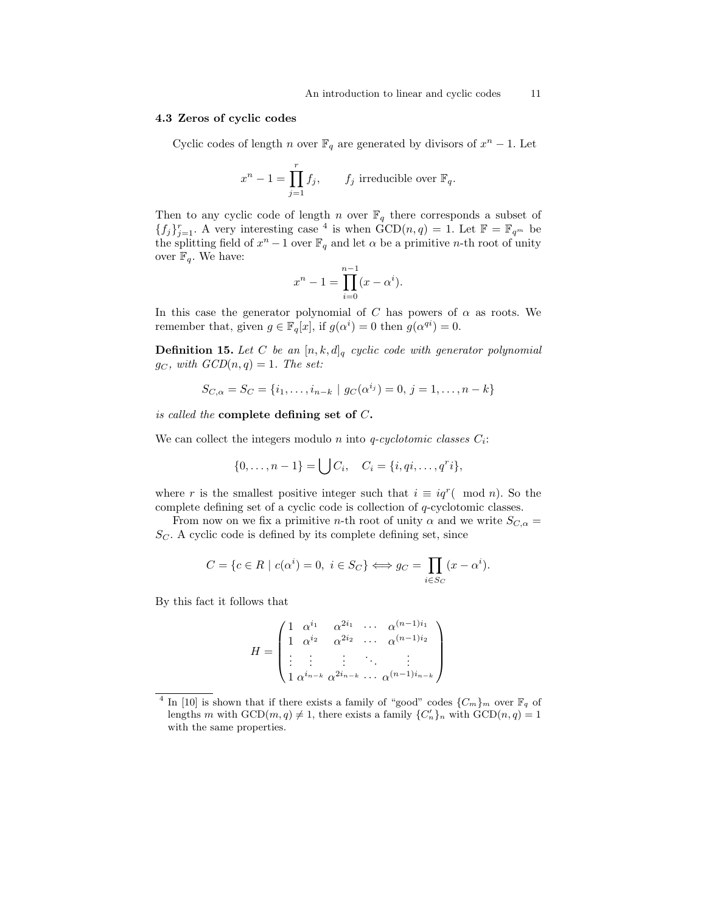#### 4.3 Zeros of cyclic codes

Cyclic codes of length n over  $\mathbb{F}_q$  are generated by divisors of  $x^n - 1$ . Let

$$
x^n - 1 = \prod_{j=1}^r f_j, \qquad f_j \text{ irreducible over } \mathbb{F}_q.
$$

Then to any cyclic code of length n over  $\mathbb{F}_q$  there corresponds a subset of  ${f_j}_{j=1}^r$ . A very interesting case <sup>4</sup> is when  $\text{GCD}(n,q) = 1$ . Let  $\mathbb{F} = \mathbb{F}_{q^m}$  be the splitting field of  $x^n - 1$  over  $\mathbb{F}_q$  and let  $\alpha$  be a primitive *n*-th root of unity over  $\mathbb{F}_q$ . We have:

$$
x^{n} - 1 = \prod_{i=0}^{n-1} (x - \alpha^{i}).
$$

In this case the generator polynomial of  $C$  has powers of  $\alpha$  as roots. We remember that, given  $g \in \mathbb{F}_q[x]$ , if  $g(\alpha^i) = 0$  then  $g(\alpha^{qi}) = 0$ .

**Definition 15.** Let C be an  $[n, k, d]_q$  cyclic code with generator polynomial  $g_C$ , with  $GCD(n, q) = 1$ . The set:

$$
S_{C,\alpha} = S_C = \{i_1, \ldots, i_{n-k} \mid g_C(\alpha^{i_j}) = 0, j = 1, \ldots, n-k\}
$$

is called the complete defining set of  $C$ .

We can collect the integers modulo n into  $q$ -cyclotomic classes  $C_i$ :

$$
\{0, \ldots, n-1\} = \bigcup C_i, \quad C_i = \{i, qi, \ldots, q^r i\},
$$

where r is the smallest positive integer such that  $i \equiv iq^r(\mod n)$ . So the complete defining set of a cyclic code is collection of q-cyclotomic classes.

From now on we fix a primitive n-th root of unity  $\alpha$  and we write  $S_{C,\alpha} =$  $S_C$ . A cyclic code is defined by its complete defining set, since

$$
C = \{c \in R \mid c(\alpha^i) = 0, \ i \in S_C\} \Longleftrightarrow g_C = \prod_{i \in S_C} (x - \alpha^i).
$$

By this fact it follows that

$$
H = \begin{pmatrix} 1 & \alpha^{i_1} & \alpha^{2i_1} & \cdots & \alpha^{(n-1)i_1} \\ 1 & \alpha^{i_2} & \alpha^{2i_2} & \cdots & \alpha^{(n-1)i_2} \\ \vdots & \vdots & \vdots & \ddots & \vdots \\ 1 & \alpha^{i_{n-k}} & \alpha^{2i_{n-k}} & \cdots & \alpha^{(n-1)i_{n-k}} \end{pmatrix}
$$

<sup>&</sup>lt;sup>4</sup> In [10] is shown that if there exists a family of "good" codes  $\{C_m\}_m$  over  $\mathbb{F}_q$  of lengths m with  $GCD(m, q) \neq 1$ , there exists a family  ${C'_n}_n$  with  $GCD(n, q) = 1$ with the same properties.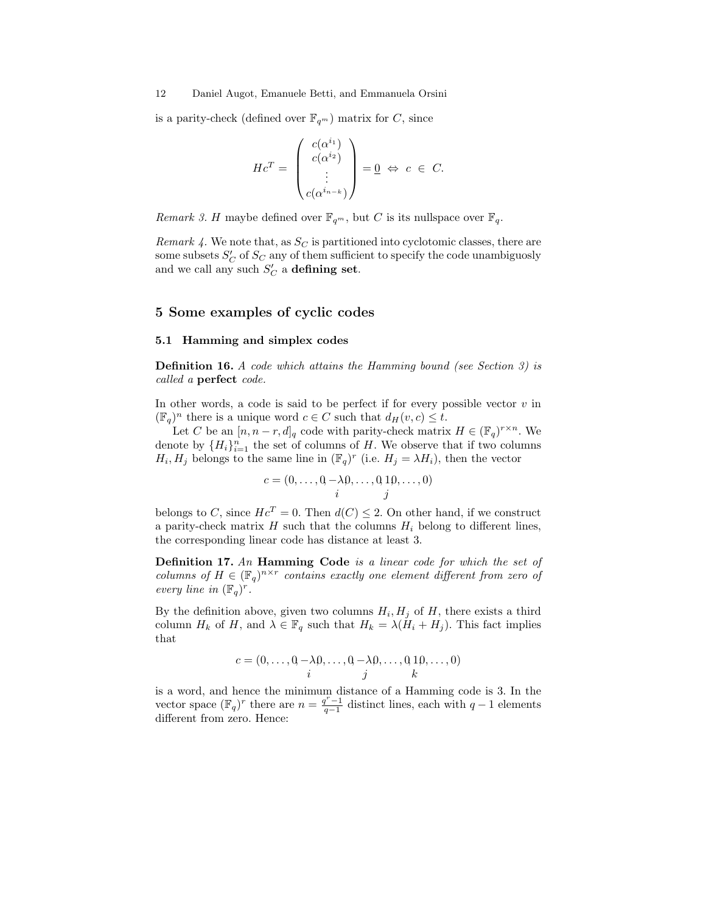is a parity-check (defined over  $\mathbb{F}_{q^m}$ ) matrix for C, since

$$
Hc^{T} = \begin{pmatrix} c(\alpha^{i_1}) \\ c(\alpha^{i_2}) \\ \vdots \\ c(\alpha^{i_{n-k}}) \end{pmatrix} = \underline{0} \Leftrightarrow c \in C.
$$

Remark 3. H maybe defined over  $\mathbb{F}_{q^m}$ , but C is its nullspace over  $\mathbb{F}_q$ .

Remark 4. We note that, as  $S_C$  is partitioned into cyclotomic classes, there are some subsets  $S_C'$  of  $S_C$  any of them sufficient to specify the code unambiguosly and we call any such  $S_C'$  a **defining set**.

## 5 Some examples of cyclic codes

#### 5.1 Hamming and simplex codes

Definition 16. A code which attains the Hamming bound (see Section 3) is called a perfect code.

In other words, a code is said to be perfect if for every possible vector  $v$  in  $(\mathbb{F}_q)^n$  there is a unique word  $c \in C$  such that  $d_H(v, c) \leq t$ .

Let C be an  $[n, n-r, d]_q$  code with parity-check matrix  $H \in (\mathbb{F}_q)^{r \times n}$ . We denote by  $\{H_i\}_{i=1}^n$  the set of columns of H. We observe that if two columns  $H_i, H_j$  belongs to the same line in  $(\mathbb{F}_q)^r$  (i.e.  $H_j = \lambda H_i$ ), then the vector

$$
c = (0, \ldots, 0, -\lambda, 0, \ldots, 0, 1, 0, \ldots, 0)
$$
  
*i j*

belongs to C, since  $Hc^T = 0$ . Then  $d(C) \leq 2$ . On other hand, if we construct a parity-check matrix  $H$  such that the columns  $H_i$  belong to different lines, the corresponding linear code has distance at least 3.

Definition 17. An Hamming Code is a linear code for which the set of columns of  $H \in (\mathbb{F}_q)^{n \times r}$  contains exactly one element different from zero of every line in  $(\mathbb{F}_q)^r$ .

By the definition above, given two columns  $H_i, H_j$  of H, there exists a third column  $H_k$  of H, and  $\lambda \in \mathbb{F}_q$  such that  $H_k = \lambda (H_i + H_j)$ . This fact implies that

$$
c = (0, \ldots, 0, -\lambda, 0, \ldots, 0, -\lambda, 0, \ldots, 0, 1, 0, \ldots, 0)
$$
  
*i j k*

is a word, and hence the minimum distance of a Hamming code is 3. In the vector space  $(\mathbb{F}_q)^r$  there are  $n = \frac{q^r - 1}{q - 1}$  distinct lines, each with  $q - 1$  elements different from zero. Hence: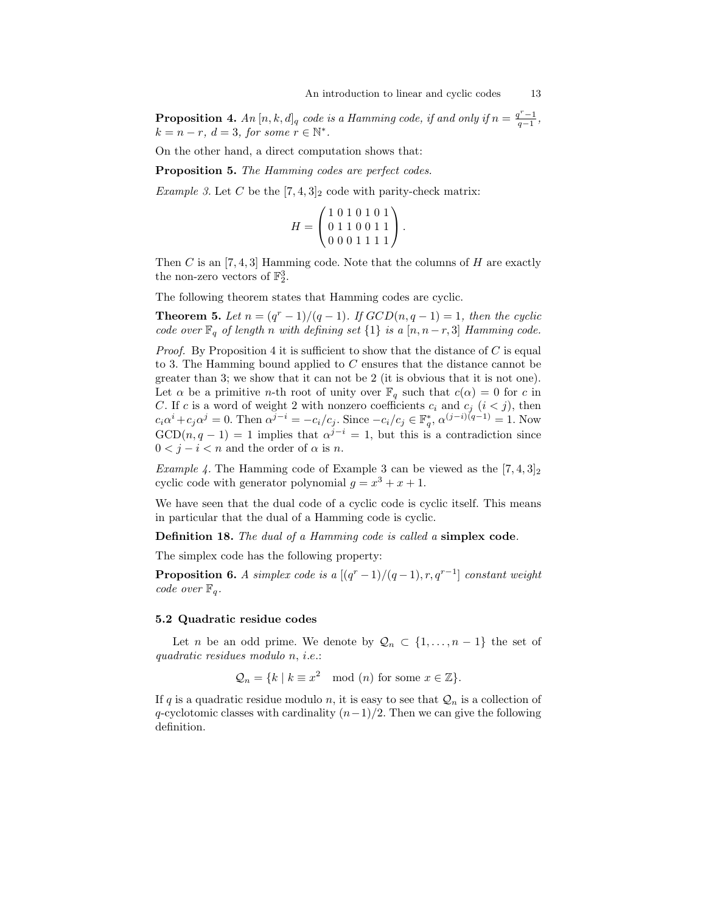**Proposition 4.** An  $[n, k, d]_q$  code is a Hamming code, if and only if  $n = \frac{q^r - 1}{q - 1}$ ,  $k = n - r, d = 3, for some  $r \in \mathbb{N}^*$ .$ 

On the other hand, a direct computation shows that:

Proposition 5. The Hamming codes are perfect codes.

*Example 3.* Let C be the  $[7, 4, 3]_2$  code with parity-check matrix:

$$
H = \left(\begin{array}{rrr} 1 & 0 & 1 & 0 & 1 & 0 & 1 \\ 0 & 1 & 1 & 0 & 0 & 1 & 1 \\ 0 & 0 & 0 & 1 & 1 & 1 & 1 \end{array}\right).
$$

Then C is an  $[7, 4, 3]$  Hamming code. Note that the columns of H are exactly the non-zero vectors of  $\mathbb{F}_2^3$ .

The following theorem states that Hamming codes are cyclic.

**Theorem 5.** Let  $n = (q^r - 1)/(q - 1)$ . If  $GCD(n, q - 1) = 1$ , then the cyclic code over  $\mathbb{F}_q$  of length n with defining set  $\{1\}$  is a  $[n, n-r, 3]$  Hamming code.

*Proof.* By Proposition 4 it is sufficient to show that the distance of  $C$  is equal to 3. The Hamming bound applied to C ensures that the distance cannot be greater than 3; we show that it can not be 2 (it is obvious that it is not one). Let  $\alpha$  be a primitive *n*-th root of unity over  $\mathbb{F}_q$  such that  $c(\alpha) = 0$  for c in C. If c is a word of weight 2 with nonzero coefficients  $c_i$  and  $c_j$   $(i < j)$ , then  $c_i\alpha^i + c_j\alpha^j = 0$ . Then  $\alpha^{j-i} = -c_i/c_j$ . Since  $-c_i/c_j \in \mathbb{F}_q^*, \alpha^{(j-i)(q-1)} = 1$ . Now  $GCD(n, q-1) = 1$  implies that  $\alpha^{j-i} = 1$ , but this is a contradiction since  $0 < j - i < n$  and the order of  $\alpha$  is n.

*Example 4.* The Hamming code of Example 3 can be viewed as the  $[7, 4, 3]_2$ cyclic code with generator polynomial  $g = x^3 + x + 1$ .

We have seen that the dual code of a cyclic code is cyclic itself. This means in particular that the dual of a Hamming code is cyclic.

Definition 18. The dual of a Hamming code is called a simplex code.

The simplex code has the following property:

**Proposition 6.** A simplex code is a  $[(q^r-1)/(q-1), r, q^{r-1}]$  constant weight  $code\ over\ \mathbb{F}_q$ .

#### 5.2 Quadratic residue codes

Let n be an odd prime. We denote by  $\mathcal{Q}_n \subset \{1, \ldots, n-1\}$  the set of quadratic residues modulo n, i.e.:

 $\mathcal{Q}_n = \{k \mid k \equiv x^2 \mod(n) \text{ for some } x \in \mathbb{Z}\}.$ 

If q is a quadratic residue modulo n, it is easy to see that  $\mathcal{Q}_n$  is a collection of q-cyclotomic classes with cardinality  $(n-1)/2$ . Then we can give the following definition.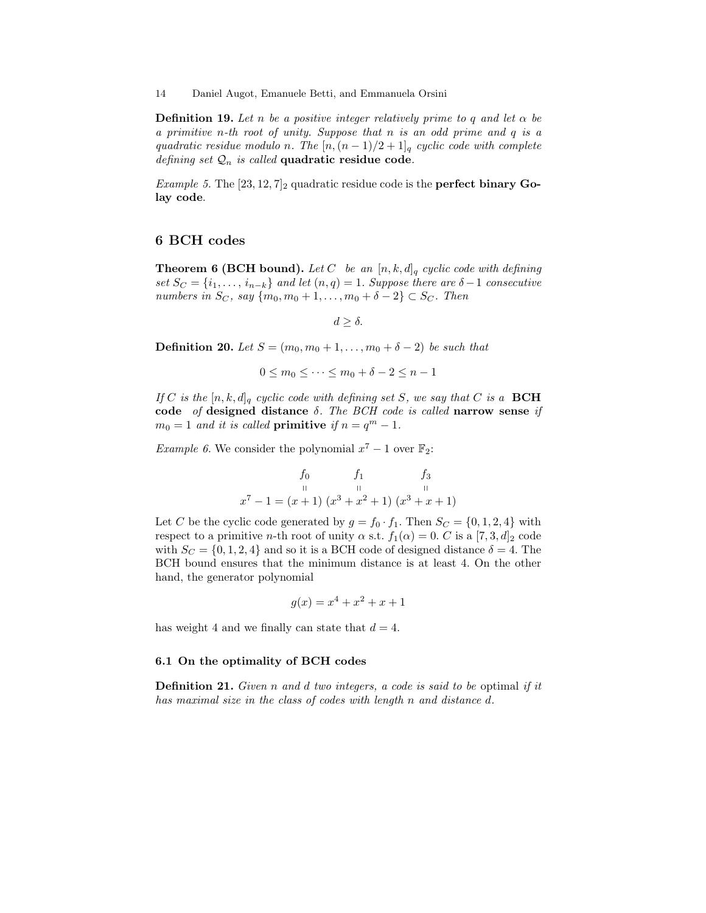**Definition 19.** Let n be a positive integer relatively prime to q and let  $\alpha$  be a primitive n-th root of unity. Suppose that n is an odd prime and q is a quadratic residue modulo n. The  $[n,(n-1)/2+1]_q$  cyclic code with complete defining set  $\mathcal{Q}_n$  is called **quadratic residue code**.

*Example 5.* The  $[23, 12, 7]_2$  quadratic residue code is the **perfect binary Go**lay code.

## 6 BCH codes

**Theorem 6 (BCH bound).** Let C be an  $[n, k, d]_q$  cyclic code with defining set  $S_C = \{i_1, \ldots, i_{n-k}\}\$  and let  $(n, q) = 1$ . Suppose there are  $\delta - 1$  consecutive numbers in  $S_C$ , say  $\{m_0, m_0 + 1, \ldots, m_0 + \delta - 2\} \subset S_C$ . Then

 $d > \delta$ .

**Definition 20.** Let  $S = (m_0, m_0 + 1, \ldots, m_0 + \delta - 2)$  be such that

 $0 \leq m_0 \leq \cdots \leq m_0 + \delta - 2 \leq n-1$ 

If C is the  $[n, k, d]_q$  cyclic code with defining set S, we say that C is a **BCH** code of designed distance  $\delta$ . The BCH code is called narrow sense if  $m_0 = 1$  and it is called **primitive** if  $n = q^m - 1$ .

*Example 6*. We consider the polynomial  $x^7 - 1$  over  $\mathbb{F}_2$ :

$$
f_0 \t f_1 \t f_3
$$
  

$$
x^7 - 1 = (x+1) (x^3 + x^2 + 1) (x^3 + x + 1)
$$

Let C be the cyclic code generated by  $g = f_0 \cdot f_1$ . Then  $S_C = \{0, 1, 2, 4\}$  with respect to a primitive *n*-th root of unity  $\alpha$  s.t.  $f_1(\alpha) = 0$ . C is a [7, 3, d]<sub>2</sub> code with  $S_C = \{0, 1, 2, 4\}$  and so it is a BCH code of designed distance  $\delta = 4$ . The BCH bound ensures that the minimum distance is at least 4. On the other hand, the generator polynomial

$$
g(x) = x^4 + x^2 + x + 1
$$

has weight 4 and we finally can state that  $d = 4$ .

#### 6.1 On the optimality of BCH codes

**Definition 21.** Given n and d two integers, a code is said to be optimal if it has maximal size in the class of codes with length n and distance d.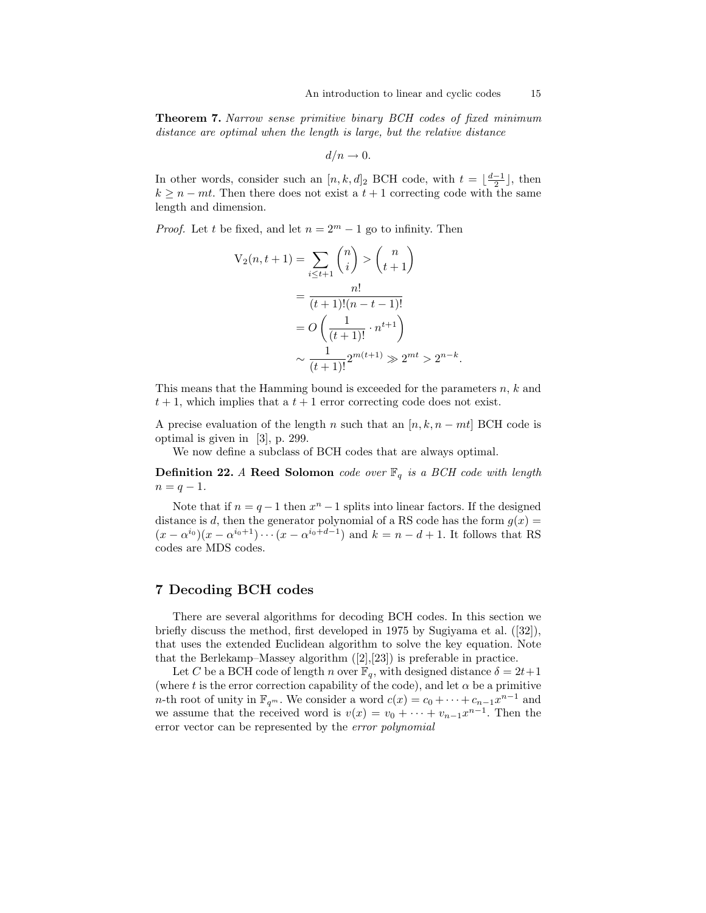Theorem 7. Narrow sense primitive binary BCH codes of fixed minimum distance are optimal when the length is large, but the relative distance

$$
d/n \to 0.
$$

In other words, consider such an  $[n, k, d]_2$  BCH code, with  $t = \lfloor \frac{d-1}{2} \rfloor$ , then  $k \geq n - mt$ . Then there does not exist a  $t + 1$  correcting code with the same length and dimension.

*Proof.* Let t be fixed, and let  $n = 2<sup>m</sup> - 1$  go to infinity. Then

$$
V_2(n, t+1) = \sum_{i \le t+1} \binom{n}{i} > \binom{n}{t+1}
$$
  
= 
$$
\frac{n!}{(t+1)!(n-t-1)!}
$$
  
= 
$$
O\left(\frac{1}{(t+1)!} \cdot n^{t+1}\right)
$$
  

$$
\sim \frac{1}{(t+1)!} 2^{m(t+1)} \gg 2^{mt} > 2^{n-k}.
$$

This means that the Hamming bound is exceeded for the parameters  $n, k$  and  $t+1$ , which implies that a  $t+1$  error correcting code does not exist.

A precise evaluation of the length n such that an  $[n, k, n - mt]$  BCH code is optimal is given in [3], p. 299.

We now define a subclass of BCH codes that are always optimal.

**Definition 22.** A Reed Solomon code over  $\mathbb{F}_q$  is a BCH code with length  $n = q - 1.$ 

Note that if  $n = q - 1$  then  $x<sup>n</sup> - 1$  splits into linear factors. If the designed distance is d, then the generator polynomial of a RS code has the form  $g(x) =$  $(x - \alpha^{i_0})(x - \alpha^{i_0+1}) \cdots (x - \alpha^{i_0+d-1})$  and  $k = n - d + 1$ . It follows that RS codes are MDS codes.

## 7 Decoding BCH codes

There are several algorithms for decoding BCH codes. In this section we briefly discuss the method, first developed in 1975 by Sugiyama et al. ([32]), that uses the extended Euclidean algorithm to solve the key equation. Note that the Berlekamp–Massey algorithm ([2],[23]) is preferable in practice.

Let C be a BCH code of length n over  $\mathbb{F}_q$ , with designed distance  $\delta = 2t+1$ (where t is the error correction capability of the code), and let  $\alpha$  be a primitive n-th root of unity in  $\mathbb{F}_{q^m}$ . We consider a word  $c(x) = c_0 + \cdots + c_{n-1}x^{n-1}$  and we assume that the received word is  $v(x) = v_0 + \cdots + v_{n-1}x^{n-1}$ . Then the error vector can be represented by the error polynomial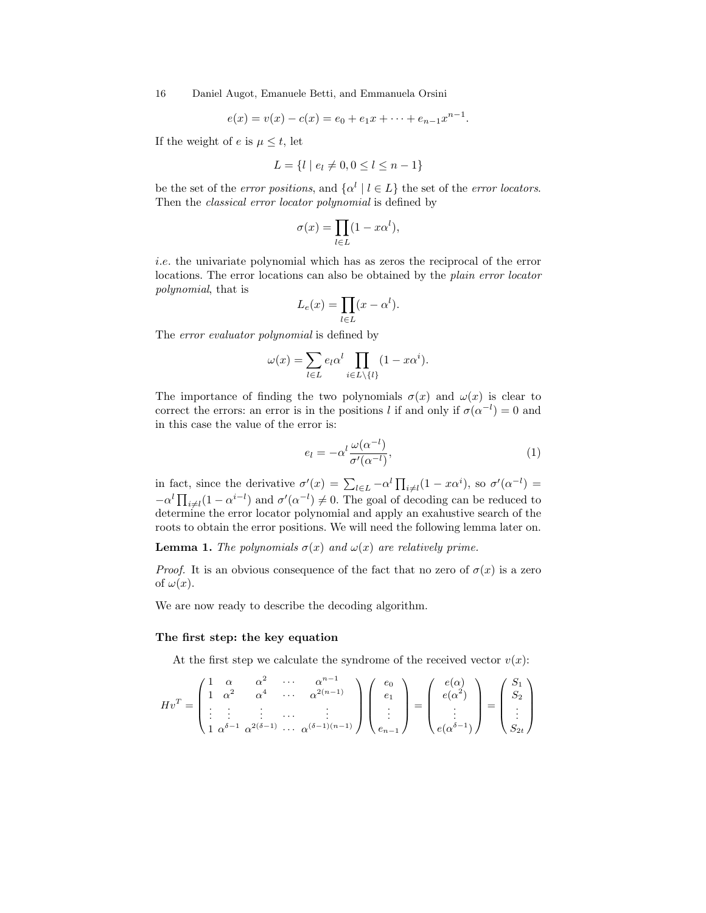$$
e(x) = v(x) - c(x) = e_0 + e_1 x + \dots + e_{n-1} x^{n-1}.
$$

If the weight of e is  $\mu \leq t$ , let

$$
L = \{l \mid e_l \neq 0, 0 \le l \le n - 1\}
$$

be the set of the *error positions*, and  $\{\alpha^l \mid l \in L\}$  the set of the *error locators*. Then the classical error locator polynomial is defined by

$$
\sigma(x) = \prod_{l \in L} (1 - x\alpha^l),
$$

i.e. the univariate polynomial which has as zeros the reciprocal of the error locations. The error locations can also be obtained by the plain error locator polynomial, that is

$$
L_e(x) = \prod_{l \in L} (x - \alpha^l).
$$

The error evaluator polynomial is defined by

$$
\omega(x) = \sum_{l \in L} e_l \alpha^l \prod_{i \in L \setminus \{l\}} (1 - x \alpha^i).
$$

The importance of finding the two polynomials  $\sigma(x)$  and  $\omega(x)$  is clear to correct the errors: an error is in the positions l if and only if  $\sigma(\alpha^{-l}) = 0$  and in this case the value of the error is:

$$
e_l = -\alpha^l \frac{\omega(\alpha^{-l})}{\sigma'(\alpha^{-l})},\tag{1}
$$

in fact, since the derivative  $\sigma'(x) = \sum_{l \in L} -\alpha^l \prod_{i \neq l} (1 - x \alpha^i)$ , so  $\sigma'(\alpha^{-l}) =$  $-\alpha^l \prod_{i \neq l} (1 - \alpha^{i-l})$  and  $\sigma'(\alpha^{-l}) \neq 0$ . The goal of decoding can be reduced to determine the error locator polynomial and apply an exahustive search of the roots to obtain the error positions. We will need the following lemma later on.

**Lemma 1.** The polynomials  $\sigma(x)$  and  $\omega(x)$  are relatively prime.

*Proof.* It is an obvious consequence of the fact that no zero of  $\sigma(x)$  is a zero of  $\omega(x)$ .

We are now ready to describe the decoding algorithm.

#### The first step: the key equation

At the first step we calculate the syndrome of the received vector  $v(x)$ :

$$
Hv^{T} = \begin{pmatrix} 1 & \alpha & \alpha^{2} & \cdots & \alpha^{n-1} \\ 1 & \alpha^{2} & \alpha^{4} & \cdots & \alpha^{2(n-1)} \\ \vdots & \vdots & \vdots & \ddots & \vdots \\ 1 & \alpha^{\delta-1} & \alpha^{2(\delta-1)} & \cdots & \alpha^{(\delta-1)(n-1)} \end{pmatrix} \begin{pmatrix} e_0 \\ e_1 \\ \vdots \\ e_{n-1} \end{pmatrix} = \begin{pmatrix} e(\alpha) \\ e(\alpha^{2}) \\ \vdots \\ e(\alpha^{\delta-1}) \end{pmatrix} = \begin{pmatrix} S_1 \\ S_2 \\ \vdots \\ S_{2t} \end{pmatrix}
$$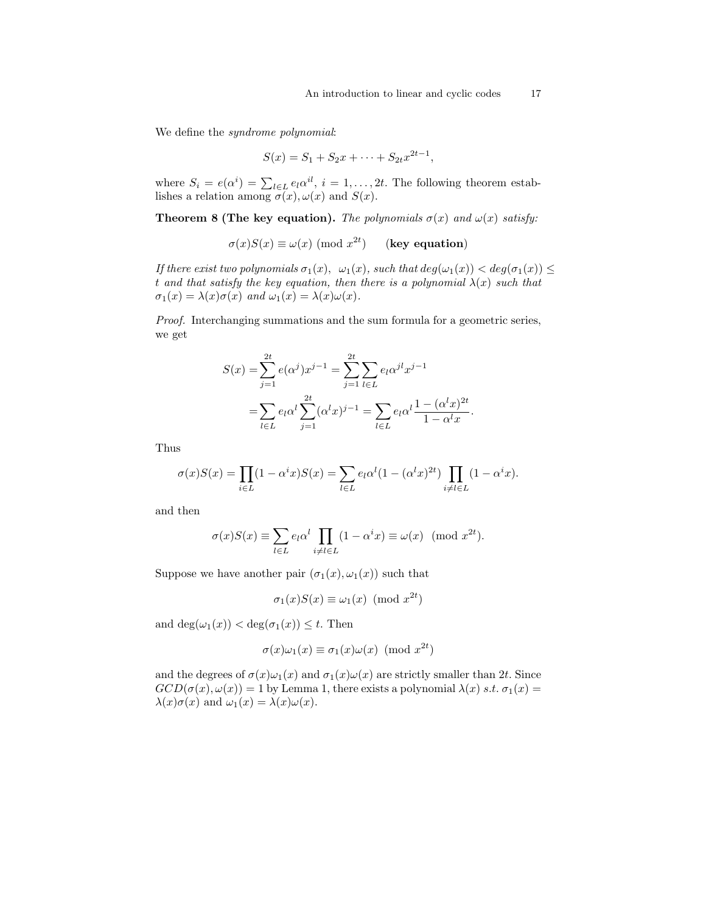.

We define the *syndrome polynomial*:

$$
S(x) = S_1 + S_2 x + \dots + S_{2t} x^{2t-1},
$$

where  $S_i = e(\alpha^i) = \sum_{l \in L} e_l \alpha^{il}$ ,  $i = 1, ..., 2t$ . The following theorem establishes a relation among  $\sigma(x)$ ,  $\omega(x)$  and  $S(x)$ .

**Theorem 8 (The key equation).** The polynomials  $\sigma(x)$  and  $\omega(x)$  satisfy:

 $\sigma(x)S(x) \equiv \omega(x) \pmod{x^{2t}}$  (key equation)

If there exist two polynomials  $\sigma_1(x)$ ,  $\omega_1(x)$ , such that  $deg(\omega_1(x)) < deg(\sigma_1(x)) \le$ t and that satisfy the key equation, then there is a polynomial  $\lambda(x)$  such that  $\sigma_1(x) = \lambda(x)\sigma(x)$  and  $\omega_1(x) = \lambda(x)\omega(x)$ .

Proof. Interchanging summations and the sum formula for a geometric series, we get

$$
S(x) = \sum_{j=1}^{2t} e(\alpha^j) x^{j-1} = \sum_{j=1}^{2t} \sum_{l \in L} e_l \alpha^{jl} x^{j-1}
$$

$$
= \sum_{l \in L} e_l \alpha^l \sum_{j=1}^{2t} (\alpha^l x)^{j-1} = \sum_{l \in L} e_l \alpha^l \frac{1 - (\alpha^l x)^{2t}}{1 - \alpha^l x}
$$

Thus

$$
\sigma(x)S(x) = \prod_{i \in L} (1 - \alpha^i x)S(x) = \sum_{l \in L} e_l \alpha^l (1 - (\alpha^l x)^{2t}) \prod_{i \neq l \in L} (1 - \alpha^i x).
$$

and then

$$
\sigma(x)S(x) \equiv \sum_{l \in L} e_l \alpha^l \prod_{i \neq l \in L} (1 - \alpha^i x) \equiv \omega(x) \pmod{x^{2t}}.
$$

Suppose we have another pair  $(\sigma_1(x), \omega_1(x))$  such that

$$
\sigma_1(x)S(x) \equiv \omega_1(x) \pmod{x^{2t}}
$$

and  $\deg(\omega_1(x)) < \deg(\sigma_1(x)) \leq t$ . Then

$$
\sigma(x)\omega_1(x) \equiv \sigma_1(x)\omega(x) \pmod{x^{2t}}
$$

and the degrees of  $\sigma(x)\omega_1(x)$  and  $\sigma_1(x)\omega(x)$  are strictly smaller than 2t. Since  $GCD(\sigma(x), \omega(x)) = 1$  by Lemma 1, there exists a polynomial  $\lambda(x)$  s.t.  $\sigma_1(x) =$  $\lambda(x)\sigma(x)$  and  $\omega_1(x) = \lambda(x)\omega(x)$ .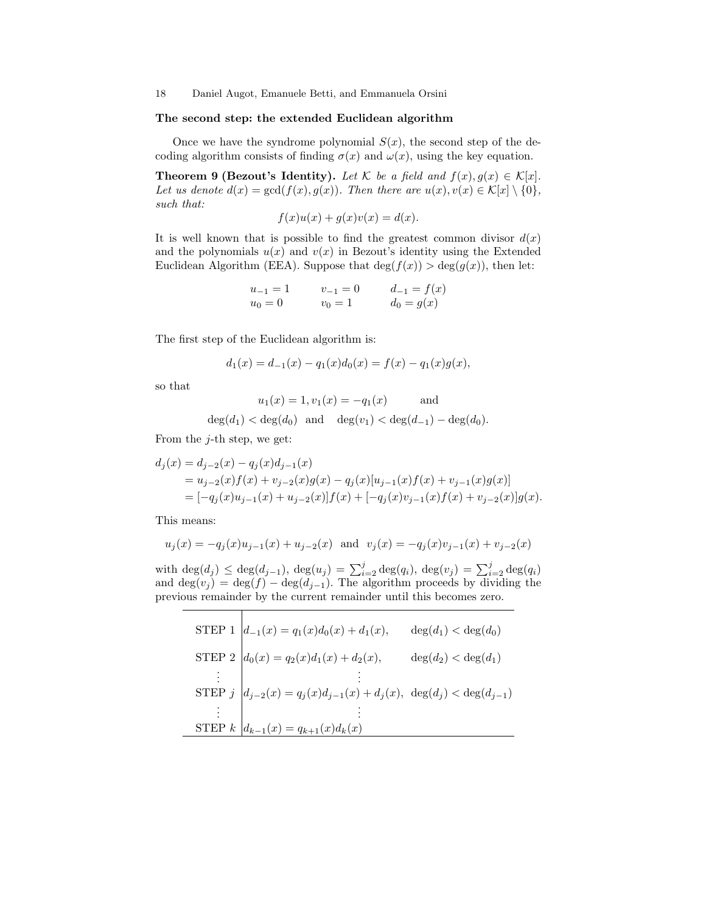#### The second step: the extended Euclidean algorithm

Once we have the syndrome polynomial  $S(x)$ , the second step of the decoding algorithm consists of finding  $\sigma(x)$  and  $\omega(x)$ , using the key equation.

**Theorem 9 (Bezout's Identity).** Let  $K$  be a field and  $f(x), g(x) \in K[x]$ . Let us denote  $d(x) = \gcd(f(x), g(x))$ . Then there are  $u(x), v(x) \in \mathcal{K}[x] \setminus \{0\},$ such that:

$$
f(x)u(x) + g(x)v(x) = d(x).
$$

It is well known that is possible to find the greatest common divisor  $d(x)$ and the polynomials  $u(x)$  and  $v(x)$  in Bezout's identity using the Extended Euclidean Algorithm (EEA). Suppose that  $deg(f(x)) > deg(g(x))$ , then let:

$$
u_{-1} = 1
$$
  $v_{-1} = 0$   $d_{-1} = f(x)$   
\n $u_0 = 0$   $v_0 = 1$   $d_0 = g(x)$ 

The first step of the Euclidean algorithm is:

$$
d_1(x) = d_{-1}(x) - q_1(x)d_0(x) = f(x) - q_1(x)g(x),
$$

so that

$$
u_1(x) = 1, v_1(x) = -q_1(x)
$$
 and

$$
deg(d_1) < deg(d_0)
$$
 and  $deg(v_1) < deg(d_{-1}) - deg(d_0)$ .

From the  $j$ -th step, we get:

$$
d_j(x) = d_{j-2}(x) - q_j(x)d_{j-1}(x)
$$
  
=  $u_{j-2}(x)f(x) + v_{j-2}(x)g(x) - q_j(x)[u_{j-1}(x)f(x) + v_{j-1}(x)g(x)]$   
=  $[-q_j(x)u_{j-1}(x) + u_{j-2}(x)]f(x) + [-q_j(x)v_{j-1}(x)f(x) + v_{j-2}(x)]g(x).$ 

This means:

$$
u_j(x) = -q_j(x)u_{j-1}(x) + u_{j-2}(x)
$$
 and  $v_j(x) = -q_j(x)v_{j-1}(x) + v_{j-2}(x)$ 

with  $\deg(d_j) \leq \deg(d_{j-1}), \deg(u_j) = \sum_{i=2}^j \deg(q_i), \deg(v_j) = \sum_{i=2}^j \deg(q_i)$ and  $\deg(v_j) = \deg(f) - \deg(d_{j-1})$ . The algorithm proceeds by dividing the previous remainder by the current remainder until this becomes zero.

| STEP 1 $\Big  d_{-1}(x) = q_1(x)d_0(x) + d_1(x),$                                                                                                                                                                | $\deg(d_1) < \deg(d_0)$ |
|------------------------------------------------------------------------------------------------------------------------------------------------------------------------------------------------------------------|-------------------------|
| STEP 2 $d_0(x) = q_2(x)d_1(x) + d_2(x)$ , $deg(d_2) < deg(d_1)$<br>$\vdots$<br>STEP j $d_{j-2}(x) = q_j(x)d_{j-1}(x) + d_j(x)$ , $deg(d_j) < deg(d_{j-1})$<br>$\vdots$<br>STEP k $d_{k-1}(x) = q_{k+1}(x)d_k(x)$ |                         |
|                                                                                                                                                                                                                  |                         |
|                                                                                                                                                                                                                  |                         |
|                                                                                                                                                                                                                  |                         |
|                                                                                                                                                                                                                  |                         |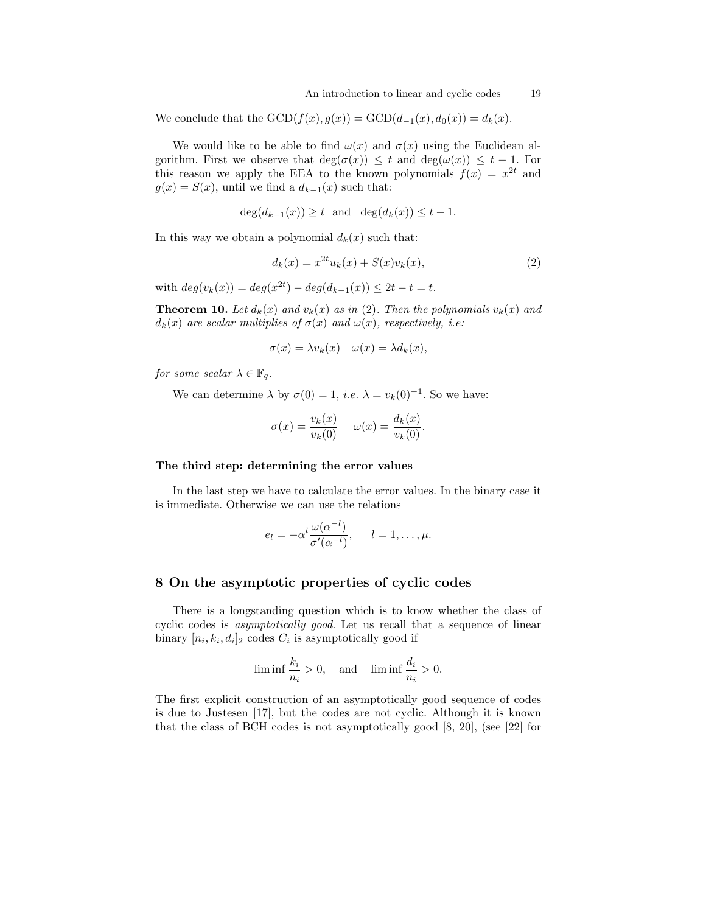We conclude that the  $GCD(f(x), g(x)) = GCD(d_{-1}(x), d_0(x)) = d_k(x)$ .

We would like to be able to find  $\omega(x)$  and  $\sigma(x)$  using the Euclidean algorithm. First we observe that  $deg(\sigma(x)) \leq t$  and  $deg(\omega(x)) \leq t - 1$ . For this reason we apply the EEA to the known polynomials  $f(x) = x^{2t}$  and  $g(x) = S(x)$ , until we find a  $d_{k-1}(x)$  such that:

$$
\deg(d_{k-1}(x)) \ge t \text{ and } \deg(d_k(x)) \le t - 1.
$$

In this way we obtain a polynomial  $d_k(x)$  such that:

$$
d_k(x) = x^{2t} u_k(x) + S(x)v_k(x),
$$
\n(2)

with  $deg(v_k(x)) = deg(x^{2t}) - deg(d_{k-1}(x)) \le 2t - t = t$ .

**Theorem 10.** Let  $d_k(x)$  and  $v_k(x)$  as in (2). Then the polynomials  $v_k(x)$  and  $d_k(x)$  are scalar multiplies of  $\sigma(x)$  and  $\omega(x)$ , respectively, i.e:

$$
\sigma(x) = \lambda v_k(x) \quad \omega(x) = \lambda d_k(x),
$$

for some scalar  $\lambda \in \mathbb{F}_q$ .

We can determine  $\lambda$  by  $\sigma(0) = 1$ , *i.e.*  $\lambda = v_k(0)^{-1}$ . So we have:

$$
\sigma(x) = \frac{v_k(x)}{v_k(0)} \quad \omega(x) = \frac{d_k(x)}{v_k(0)}.
$$

#### The third step: determining the error values

In the last step we have to calculate the error values. In the binary case it is immediate. Otherwise we can use the relations

$$
e_l = -\alpha^l \frac{\omega(\alpha^{-l})}{\sigma'(\alpha^{-l})}, \qquad l = 1, \ldots, \mu.
$$

## 8 On the asymptotic properties of cyclic codes

There is a longstanding question which is to know whether the class of cyclic codes is asymptotically good. Let us recall that a sequence of linear binary  $[n_i, k_i, d_i]_2$  codes  $C_i$  is asymptotically good if

$$
\liminf \frac{k_i}{n_i} > 0, \quad \text{and} \quad \liminf \frac{d_i}{n_i} > 0.
$$

The first explicit construction of an asymptotically good sequence of codes is due to Justesen [17], but the codes are not cyclic. Although it is known that the class of BCH codes is not asymptotically good [8, 20], (see [22] for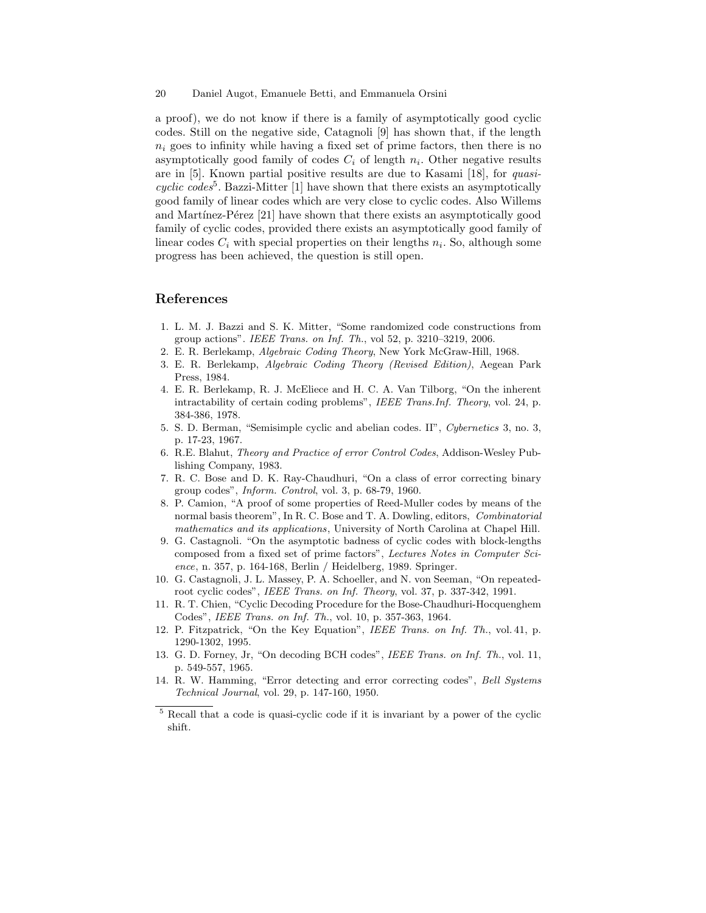a proof), we do not know if there is a family of asymptotically good cyclic codes. Still on the negative side, Catagnoli [9] has shown that, if the length  $n_i$  goes to infinity while having a fixed set of prime factors, then there is no asymptotically good family of codes  $C_i$  of length  $n_i$ . Other negative results are in [5]. Known partial positive results are due to Kasami [18], for quasicyclic codes<sup>5</sup>. Bazzi-Mitter [1] have shown that there exists an asymptotically good family of linear codes which are very close to cyclic codes. Also Willems and Martínez-Pérez  $[21]$  have shown that there exists an asymptotically good family of cyclic codes, provided there exists an asymptotically good family of linear codes  $C_i$  with special properties on their lengths  $n_i$ . So, although some progress has been achieved, the question is still open.

## References

- 1. L. M. J. Bazzi and S. K. Mitter, "Some randomized code constructions from group actions". IEEE Trans. on Inf. Th., vol 52, p. 3210–3219, 2006.
- 2. E. R. Berlekamp, Algebraic Coding Theory, New York McGraw-Hill, 1968.
- 3. E. R. Berlekamp, Algebraic Coding Theory (Revised Edition), Aegean Park Press, 1984.
- 4. E. R. Berlekamp, R. J. McEliece and H. C. A. Van Tilborg, "On the inherent intractability of certain coding problems", IEEE Trans.Inf. Theory, vol. 24, p. 384-386, 1978.
- 5. S. D. Berman, "Semisimple cyclic and abelian codes. II", Cybernetics 3, no. 3, p. 17-23, 1967.
- 6. R.E. Blahut, Theory and Practice of error Control Codes, Addison-Wesley Publishing Company, 1983.
- 7. R. C. Bose and D. K. Ray-Chaudhuri, "On a class of error correcting binary group codes", Inform. Control, vol. 3, p. 68-79, 1960.
- 8. P. Camion, "A proof of some properties of Reed-Muller codes by means of the normal basis theorem", In R. C. Bose and T. A. Dowling, editors, Combinatorial mathematics and its applications, University of North Carolina at Chapel Hill.
- 9. G. Castagnoli. "On the asymptotic badness of cyclic codes with block-lengths composed from a fixed set of prime factors", Lectures Notes in Computer Science, n. 357, p. 164-168, Berlin / Heidelberg, 1989. Springer.
- 10. G. Castagnoli, J. L. Massey, P. A. Schoeller, and N. von Seeman, "On repeatedroot cyclic codes", IEEE Trans. on Inf. Theory, vol. 37, p. 337-342, 1991.
- 11. R. T. Chien, "Cyclic Decoding Procedure for the Bose-Chaudhuri-Hocquenghem Codes", IEEE Trans. on Inf. Th., vol. 10, p. 357-363, 1964.
- 12. P. Fitzpatrick, "On the Key Equation", IEEE Trans. on Inf. Th., vol. 41, p. 1290-1302, 1995.
- 13. G. D. Forney, Jr, "On decoding BCH codes", IEEE Trans. on Inf. Th., vol. 11, p. 549-557, 1965.
- 14. R. W. Hamming, "Error detecting and error correcting codes", Bell Systems Technical Journal, vol. 29, p. 147-160, 1950.

<sup>20</sup> Daniel Augot, Emanuele Betti, and Emmanuela Orsini

<sup>5</sup> Recall that a code is quasi-cyclic code if it is invariant by a power of the cyclic shift.